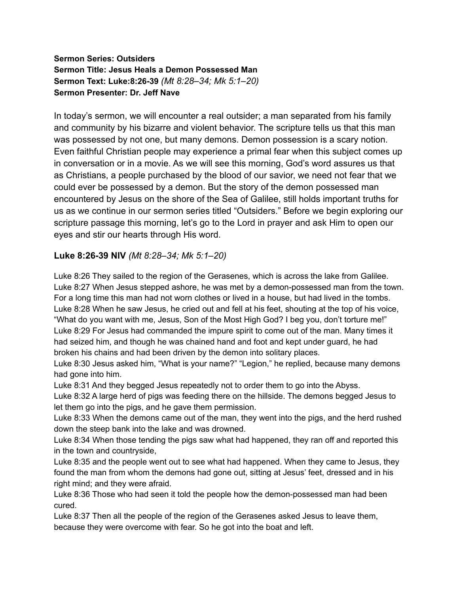#### **Sermon Series: Outsiders Sermon Title: Jesus Heals a Demon Possessed Man Sermon Text: Luke:8:26-39** *(Mt 8:28–34; Mk 5:1–20)* **Sermon Presenter: Dr. Jeff Nave**

In today's sermon, we will encounter a real outsider; a man separated from his family and community by his bizarre and violent behavior. The scripture tells us that this man was possessed by not one, but many demons. Demon possession is a scary notion. Even faithful Christian people may experience a primal fear when this subject comes up in conversation or in a movie. As we will see this morning, God's word assures us that as Christians, a people purchased by the blood of our savior, we need not fear that we could ever be possessed by a demon. But the story of the demon possessed man encountered by Jesus on the shore of the Sea of Galilee, still holds important truths for us as we continue in our sermon series titled "Outsiders." Before we begin exploring our scripture passage this morning, let's go to the Lord in prayer and ask Him to open our eyes and stir our hearts through His word.

# **Luke 8:26-39 NIV** *(Mt 8:28–34; Mk 5:1–20)*

Luke 8:26 They sailed to the region of the Gerasenes, which is across the lake from Galilee. Luke 8:27 When Jesus stepped ashore, he was met by a demon-possessed man from the town. For a long time this man had not worn clothes or lived in a house, but had lived in the tombs. Luke 8:28 When he saw Jesus, he cried out and fell at his feet, shouting at the top of his voice, "What do you want with me, Jesus, Son of the Most High God? I beg you, don't torture me!" Luke 8:29 For Jesus had commanded the impure spirit to come out of the man. Many times it had seized him, and though he was chained hand and foot and kept under guard, he had broken his chains and had been driven by the demon into solitary places.

Luke 8:30 Jesus asked him, "What is your name?" "Legion," he replied, because many demons had gone into him.

Luke 8:31 And they begged Jesus repeatedly not to order them to go into the Abyss.

Luke 8:32 A large herd of pigs was feeding there on the hillside. The demons begged Jesus to let them go into the pigs, and he gave them permission.

Luke 8:33 When the demons came out of the man, they went into the pigs, and the herd rushed down the steep bank into the lake and was drowned.

Luke 8:34 When those tending the pigs saw what had happened, they ran off and reported this in the town and countryside,

Luke 8:35 and the people went out to see what had happened. When they came to Jesus, they found the man from whom the demons had gone out, sitting at Jesus' feet, dressed and in his right mind; and they were afraid.

Luke 8:36 Those who had seen it told the people how the demon-possessed man had been cured.

Luke 8:37 Then all the people of the region of the Gerasenes asked Jesus to leave them, because they were overcome with fear. So he got into the boat and left.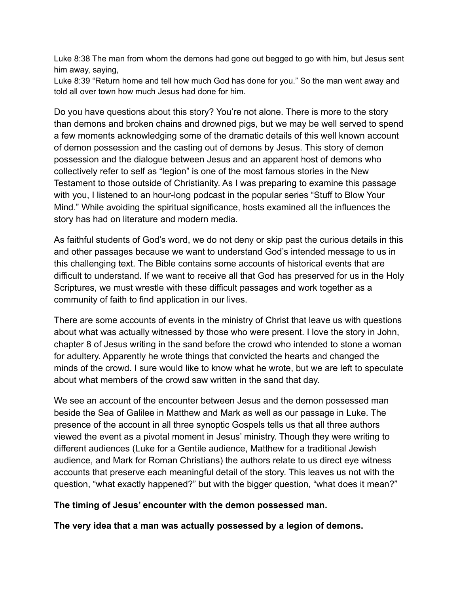Luke 8:38 The man from whom the demons had gone out begged to go with him, but Jesus sent him away, saying,

Luke 8:39 "Return home and tell how much God has done for you." So the man went away and told all over town how much Jesus had done for him.

Do you have questions about this story? You're not alone. There is more to the story than demons and broken chains and drowned pigs, but we may be well served to spend a few moments acknowledging some of the dramatic details of this well known account of demon possession and the casting out of demons by Jesus. This story of demon possession and the dialogue between Jesus and an apparent host of demons who collectively refer to self as "legion" is one of the most famous stories in the New Testament to those outside of Christianity. As I was preparing to examine this passage with you, I listened to an hour-long podcast in the popular series "Stuff to Blow Your Mind." While avoiding the spiritual significance, hosts examined all the influences the story has had on literature and modern media.

As faithful students of God's word, we do not deny or skip past the curious details in this and other passages because we want to understand God's intended message to us in this challenging text. The Bible contains some accounts of historical events that are difficult to understand. If we want to receive all that God has preserved for us in the Holy Scriptures, we must wrestle with these difficult passages and work together as a community of faith to find application in our lives.

There are some accounts of events in the ministry of Christ that leave us with questions about what was actually witnessed by those who were present. I love the story in John, chapter 8 of Jesus writing in the sand before the crowd who intended to stone a woman for adultery. Apparently he wrote things that convicted the hearts and changed the minds of the crowd. I sure would like to know what he wrote, but we are left to speculate about what members of the crowd saw written in the sand that day.

We see an account of the encounter between Jesus and the demon possessed man beside the Sea of Galilee in Matthew and Mark as well as our passage in Luke. The presence of the account in all three synoptic Gospels tells us that all three authors viewed the event as a pivotal moment in Jesus' ministry. Though they were writing to different audiences (Luke for a Gentile audience, Matthew for a traditional Jewish audience, and Mark for Roman Christians) the authors relate to us direct eye witness accounts that preserve each meaningful detail of the story. This leaves us not with the question, "what exactly happened?" but with the bigger question, "what does it mean?"

# **The timing of Jesus' encounter with the demon possessed man.**

**The very idea that a man was actually possessed by a legion of demons.**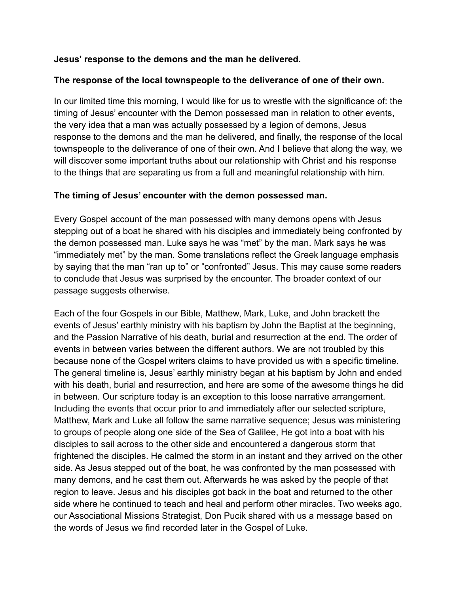### **Jesus' response to the demons and the man he delivered.**

### **The response of the local townspeople to the deliverance of one of their own.**

In our limited time this morning, I would like for us to wrestle with the significance of: the timing of Jesus' encounter with the Demon possessed man in relation to other events, the very idea that a man was actually possessed by a legion of demons, Jesus response to the demons and the man he delivered, and finally, the response of the local townspeople to the deliverance of one of their own. And I believe that along the way, we will discover some important truths about our relationship with Christ and his response to the things that are separating us from a full and meaningful relationship with him.

#### **The timing of Jesus' encounter with the demon possessed man.**

Every Gospel account of the man possessed with many demons opens with Jesus stepping out of a boat he shared with his disciples and immediately being confronted by the demon possessed man. Luke says he was "met" by the man. Mark says he was "immediately met" by the man. Some translations reflect the Greek language emphasis by saying that the man "ran up to" or "confronted" Jesus. This may cause some readers to conclude that Jesus was surprised by the encounter. The broader context of our passage suggests otherwise.

Each of the four Gospels in our Bible, Matthew, Mark, Luke, and John brackett the events of Jesus' earthly ministry with his baptism by John the Baptist at the beginning, and the Passion Narrative of his death, burial and resurrection at the end. The order of events in between varies between the different authors. We are not troubled by this because none of the Gospel writers claims to have provided us with a specific timeline. The general timeline is, Jesus' earthly ministry began at his baptism by John and ended with his death, burial and resurrection, and here are some of the awesome things he did in between. Our scripture today is an exception to this loose narrative arrangement. Including the events that occur prior to and immediately after our selected scripture, Matthew, Mark and Luke all follow the same narrative sequence; Jesus was ministering to groups of people along one side of the Sea of Galilee, He got into a boat with his disciples to sail across to the other side and encountered a dangerous storm that frightened the disciples. He calmed the storm in an instant and they arrived on the other side. As Jesus stepped out of the boat, he was confronted by the man possessed with many demons, and he cast them out. Afterwards he was asked by the people of that region to leave. Jesus and his disciples got back in the boat and returned to the other side where he continued to teach and heal and perform other miracles. Two weeks ago, our Associational Missions Strategist, Don Pucik shared with us a message based on the words of Jesus we find recorded later in the Gospel of Luke.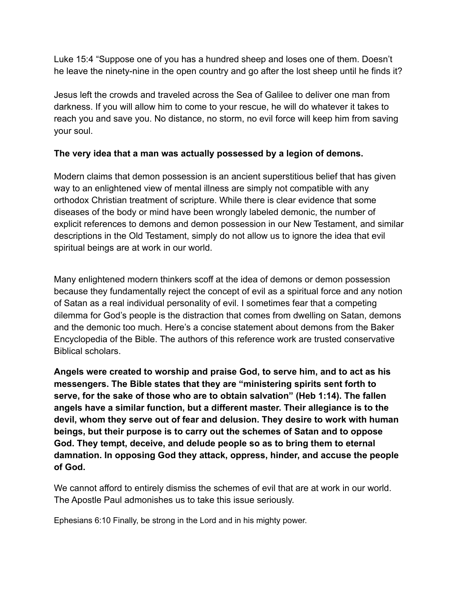Luke 15:4 "Suppose one of you has a hundred sheep and loses one of them. Doesn't he leave the ninety-nine in the open country and go after the lost sheep until he finds it?

Jesus left the crowds and traveled across the Sea of Galilee to deliver one man from darkness. If you will allow him to come to your rescue, he will do whatever it takes to reach you and save you. No distance, no storm, no evil force will keep him from saving your soul.

# **The very idea that a man was actually possessed by a legion of demons.**

Modern claims that demon possession is an ancient superstitious belief that has given way to an enlightened view of mental illness are simply not compatible with any orthodox Christian treatment of scripture. While there is clear evidence that some diseases of the body or mind have been wrongly labeled demonic, the number of explicit references to demons and demon possession in our New Testament, and similar descriptions in the Old Testament, simply do not allow us to ignore the idea that evil spiritual beings are at work in our world.

Many enlightened modern thinkers scoff at the idea of demons or demon possession because they fundamentally reject the concept of evil as a spiritual force and any notion of Satan as a real individual personality of evil. I sometimes fear that a competing dilemma for God's people is the distraction that comes from dwelling on Satan, demons and the demonic too much. Here's a concise statement about demons from the Baker Encyclopedia of the Bible. The authors of this reference work are trusted conservative Biblical scholars.

**Angels were created to worship and praise God, to serve him, and to act as his messengers. The Bible states that they are "ministering spirits sent forth to serve, for the sake of those who are to obtain salvation" (Heb 1:14). The fallen angels have a similar function, but a different master. Their allegiance is to the devil, whom they serve out of fear and delusion. They desire to work with human beings, but their purpose is to carry out the schemes of Satan and to oppose God. They tempt, deceive, and delude people so as to bring them to eternal damnation. In opposing God they attack, oppress, hinder, and accuse the people of God.**

We cannot afford to entirely dismiss the schemes of evil that are at work in our world. The Apostle Paul admonishes us to take this issue seriously.

Ephesians 6:10 Finally, be strong in the Lord and in his mighty power.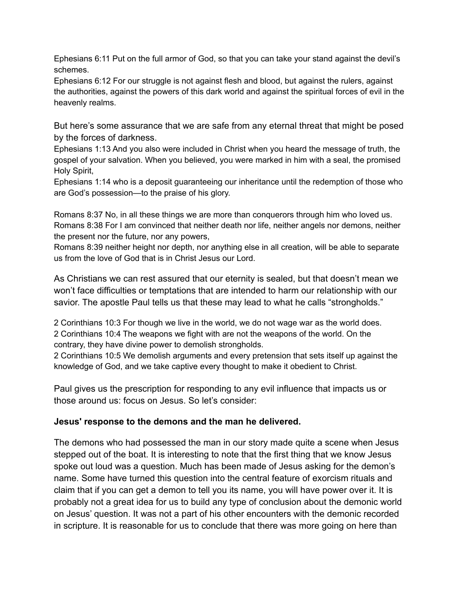Ephesians 6:11 Put on the full armor of God, so that you can take your stand against the devil's schemes.

Ephesians 6:12 For our struggle is not against flesh and blood, but against the rulers, against the authorities, against the powers of this dark world and against the spiritual forces of evil in the heavenly realms.

But here's some assurance that we are safe from any eternal threat that might be posed by the forces of darkness.

Ephesians 1:13 And you also were included in Christ when you heard the message of truth, the gospel of your salvation. When you believed, you were marked in him with a seal, the promised Holy Spirit,

Ephesians 1:14 who is a deposit guaranteeing our inheritance until the redemption of those who are God's possession—to the praise of his glory.

Romans 8:37 No, in all these things we are more than conquerors through him who loved us. Romans 8:38 For I am convinced that neither death nor life, neither angels nor demons, neither the present nor the future, nor any powers,

Romans 8:39 neither height nor depth, nor anything else in all creation, will be able to separate us from the love of God that is in Christ Jesus our Lord.

As Christians we can rest assured that our eternity is sealed, but that doesn't mean we won't face difficulties or temptations that are intended to harm our relationship with our savior. The apostle Paul tells us that these may lead to what he calls "strongholds."

2 Corinthians 10:3 For though we live in the world, we do not wage war as the world does. 2 Corinthians 10:4 The weapons we fight with are not the weapons of the world. On the contrary, they have divine power to demolish strongholds.

2 Corinthians 10:5 We demolish arguments and every pretension that sets itself up against the knowledge of God, and we take captive every thought to make it obedient to Christ.

Paul gives us the prescription for responding to any evil influence that impacts us or those around us: focus on Jesus. So let's consider:

#### **Jesus' response to the demons and the man he delivered.**

The demons who had possessed the man in our story made quite a scene when Jesus stepped out of the boat. It is interesting to note that the first thing that we know Jesus spoke out loud was a question. Much has been made of Jesus asking for the demon's name. Some have turned this question into the central feature of exorcism rituals and claim that if you can get a demon to tell you its name, you will have power over it. It is probably not a great idea for us to build any type of conclusion about the demonic world on Jesus' question. It was not a part of his other encounters with the demonic recorded in scripture. It is reasonable for us to conclude that there was more going on here than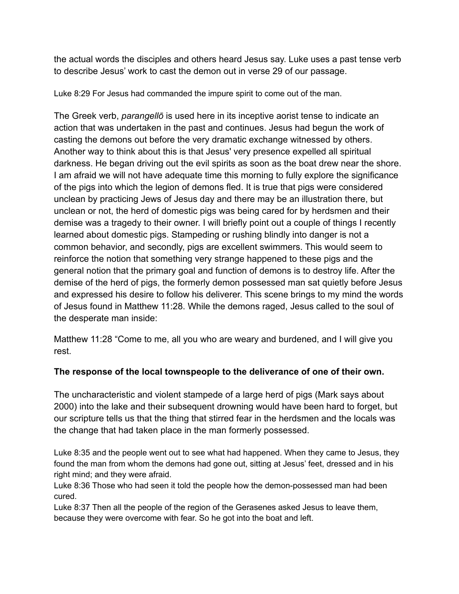the actual words the disciples and others heard Jesus say. Luke uses a past tense verb to describe Jesus' work to cast the demon out in verse 29 of our passage.

Luke 8:29 For Jesus had commanded the impure spirit to come out of the man.

The Greek verb, *parangellō* is used here in its inceptive aorist tense to indicate an action that was undertaken in the past and continues. Jesus had begun the work of casting the demons out before the very dramatic exchange witnessed by others. Another way to think about this is that Jesus' very presence expelled all spiritual darkness. He began driving out the evil spirits as soon as the boat drew near the shore. I am afraid we will not have adequate time this morning to fully explore the significance of the pigs into which the legion of demons fled. It is true that pigs were considered unclean by practicing Jews of Jesus day and there may be an illustration there, but unclean or not, the herd of domestic pigs was being cared for by herdsmen and their demise was a tragedy to their owner. I will briefly point out a couple of things I recently learned about domestic pigs. Stampeding or rushing blindly into danger is not a common behavior, and secondly, pigs are excellent swimmers. This would seem to reinforce the notion that something very strange happened to these pigs and the general notion that the primary goal and function of demons is to destroy life. After the demise of the herd of pigs, the formerly demon possessed man sat quietly before Jesus and expressed his desire to follow his deliverer. This scene brings to my mind the words of Jesus found in Matthew 11:28. While the demons raged, Jesus called to the soul of the desperate man inside:

Matthew 11:28 "Come to me, all you who are weary and burdened, and I will give you rest.

# **The response of the local townspeople to the deliverance of one of their own.**

The uncharacteristic and violent stampede of a large herd of pigs (Mark says about 2000) into the lake and their subsequent drowning would have been hard to forget, but our scripture tells us that the thing that stirred fear in the herdsmen and the locals was the change that had taken place in the man formerly possessed.

Luke 8:35 and the people went out to see what had happened. When they came to Jesus, they found the man from whom the demons had gone out, sitting at Jesus' feet, dressed and in his right mind; and they were afraid.

Luke 8:36 Those who had seen it told the people how the demon-possessed man had been cured.

Luke 8:37 Then all the people of the region of the Gerasenes asked Jesus to leave them, because they were overcome with fear. So he got into the boat and left.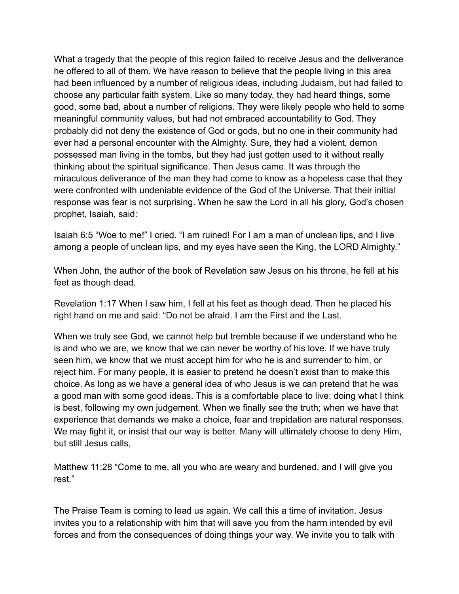What a tragedy that the people of this region failed to receive Jesus and the deliverance he offered to all of them. We have reason to believe that the people living in this area had been influenced by a number of religious ideas, including Judaism, but had failed to choose any particular faith system. Like so many today, they had heard things, some good, some bad, about a number of religions. They were likely people who held to some meaningful community values, but had not embraced accountability to God. They probably did not deny the existence of God or gods, but no one in their community had ever had a personal encounter with the Almighty. Sure, they had a violent, demon possessed man living in the tombs, but they had just gotten used to it without really thinking about the spiritual significance. Then Jesus came. It was through the miraculous deliverance of the man they had come to know as a hopeless case that they were confronted with undeniable evidence of the God of the Universe. That their initial response was fear is not surprising. When he saw the Lord in all his glory, God's chosen prophet, Isaiah, said:

Isaiah 6:5 "Woe to me!" I cried. "I am ruined! For I am a man of unclean lips, and I live among a people of unclean lips, and my eyes have seen the King, the LORD Almighty."

When John, the author of the book of Revelation saw Jesus on his throne, he fell at his feet as though dead.

Revelation 1:17 When I saw him, I fell at his feet as though dead. Then he placed his right hand on me and said: "Do not be afraid. I am the First and the Last.

When we truly see God, we cannot help but tremble because if we understand who he is and who we are, we know that we can never be worthy of his love. If we have truly seen him, we know that we must accept him for who he is and surrender to him, or reject him. For many people, it is easier to pretend he doesn't exist than to make this choice. As long as we have a general idea of who Jesus is we can pretend that he was a good man with some good ideas. This is a comfortable place to live; doing what I think is best, following my own judgement. When we finally see the truth; when we have that experience that demands we make a choice, fear and trepidation are natural responses. We may fight it, or insist that our way is better. Many will ultimately choose to deny Him, but still Jesus calls,

Matthew 11:28 "Come to me, all you who are weary and burdened, and I will give you rest."

The Praise Team is coming to lead us again. We call this a time of invitation. Jesus invites you to a relationship with him that will save you from the harm intended by evil forces and from the consequences of doing things your way. We invite you to talk with